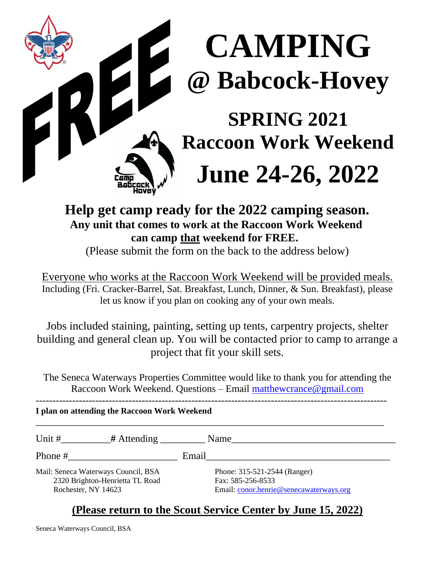

# **CAMPING 2 De Contrat de Contrat de Contrat de Contrat de Contrat de Contrat de Contrat de Contrat de Contrat de Contrat de Contrat de Contrat de Contrat de Contrat de Contrat de Contrat de Contrat de Contrat de Contrat de Contrat**

### **SPRING 2021 Raccoon Work Weekend**

## **June 24-26, 2022**

#### **Help get camp ready for the 2022 camping season. Any unit that comes to work at the Raccoon Work Weekend can camp that weekend for FREE.**

(Please submit the form on the back to the address below)

Everyone who works at the Raccoon Work Weekend will be provided meals. Including (Fri. Cracker-Barrel, Sat. Breakfast, Lunch, Dinner, & Sun. Breakfast), please let us know if you plan on cooking any of your own meals.

Jobs included staining, painting, setting up tents, carpentry projects, shelter building and general clean up. You will be contacted prior to camp to arrange a project that fit your skill sets.

The Seneca Waterways Properties Committee would like to thank you for attending the Raccoon Work Weekend. Questions – Email [matthewcrance@gmail.com](mailto:matthewcrance@gmail.com)

----------------------------------------------------------------------------------------------------------

#### **I plan on attending the Raccoon Work Weekend**

| Unit #              | $#$ Attending                                                          |       | Name                                                                                         |
|---------------------|------------------------------------------------------------------------|-------|----------------------------------------------------------------------------------------------|
| Phone #             |                                                                        | Email |                                                                                              |
| Rochester, NY 14623 | Mail: Seneca Waterways Council, BSA<br>2320 Brighton-Henrietta TL Road |       | Phone: 315-521-2544 (Ranger)<br>Fax: 585-256-8533<br>Email: conor.henrie@senecawaterways.org |

#### **(Please return to the Scout Service Center by June 15, 2022)**